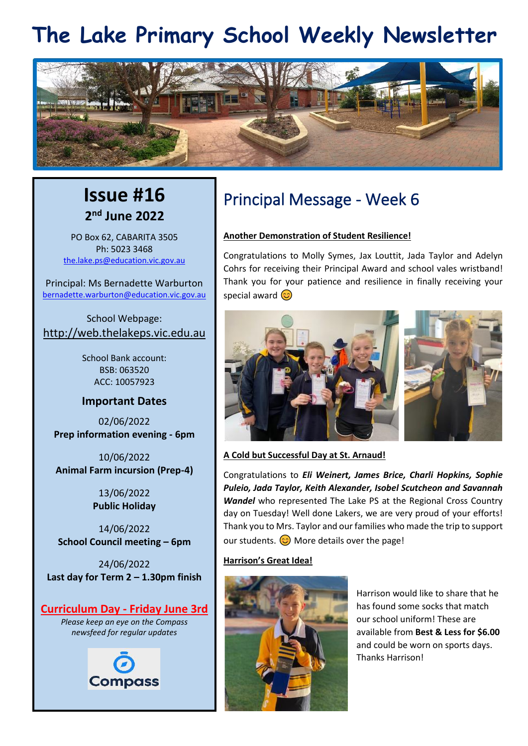## **The Lake Primary School Weekly Newsletter**



## **Issue #16 2 nd June 2022**

PO Box 62, CABARITA 3505 Ph: 5023 3468 [the.lake.ps@education.vic.gov.au](mailto:the.lake.ps@education.vic.gov.au)

Principal: Ms Bernadette Warburton [bernadette.warburton@education.vic.gov.au](mailto:bernadette.warburton@education.vic.gov.au)

School Webpage: [http://web.thelakeps.vic.edu.au](http://web.thelakeps.vic.edu.au/)

> School Bank account: BSB: 063520 ACC: 10057923

#### **Important Dates**

02/06/2022 **Prep information evening - 6pm**

10/06/2022 **Animal Farm incursion (Prep-4)**

> 13/06/2022 **Public Holiday**

14/06/2022 **School Council meeting – 6pm**

24/06/2022 **Last day for Term 2 – 1.30pm finish**

#### **Curriculum Day - Friday June 3rd**

*Please keep an eye on the Compass newsfeed for regular updates*



## Principal Message - Week 6

#### **Another Demonstration of Student Resilience!**

Congratulations to Molly Symes, Jax Louttit, Jada Taylor and Adelyn Cohrs for receiving their Principal Award and school vales wristband! Thank you for your patience and resilience in finally receiving your special award  $\circled{c}$ 



**A Cold but Successful Day at St. Arnaud!**

Congratulations to *Eli Weinert, James Brice, Charli Hopkins, Sophie Puleio, Jada Taylor, Keith Alexander, Isobel Scutcheon and Savannah Wandel* who represented The Lake PS at the Regional Cross Country day on Tuesday! Well done Lakers, we are very proud of your efforts! Thank you to Mrs. Taylor and our families who made the trip to support our students.  $\odot$  More details over the page!

#### **Harrison's Great Idea!**



Harrison would like to share that he has found some socks that match our school uniform! These are available from **Best & Less for \$6.00** and could be worn on sports days. Thanks Harrison!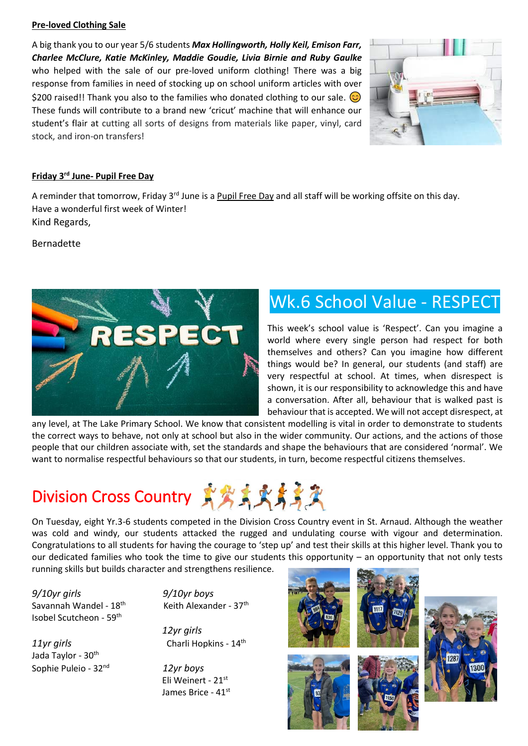#### **Pre-loved Clothing Sale**

A big thank you to our year 5/6 students *Max Hollingworth, Holly Keil, Emison Farr, Charlee McClure, Katie McKinley, Maddie Goudie, Livia Birnie and Ruby Gaulke* who helped with the sale of our pre-loved uniform clothing! There was a big response from families in need of stocking up on school uniform articles with over \$200 raised!! Thank you also to the families who donated clothing to our sale.  $\circled{c}$ These funds will contribute to a brand new 'cricut' machine that will enhance our student's flair at cutting all sorts of designs from materials like paper, vinyl, card stock, and iron-on transfers!



#### **Friday 3rd June- Pupil Free Day**

A reminder that tomorrow, Friday 3<sup>rd</sup> June is a Pupil Free Day and all staff will be working offsite on this day. Have a wonderful first week of Winter! Kind Regards,

Bernadette



## Wk.6 School Value - RESPECT

This week's school value is 'Respect'. Can you imagine a world where every single person had respect for both themselves and others? Can you imagine how different things would be? In general, our students (and staff) are very respectful at school. At times, when disrespect is shown, it is our responsibility to acknowledge this and have a conversation. After all, behaviour that is walked past is behaviour that is accepted. We will not accept disrespect, at

any level, at The Lake Primary School. We know that consistent modelling is vital in order to demonstrate to students the correct ways to behave, not only at school but also in the wider community. Our actions, and the actions of those people that our children associate with, set the standards and shape the behaviours that are considered 'normal'. We want to normalise respectful behaviours so that our students, in turn, become respectful citizens themselves.

## Division Cross Country 资务或卖卖资

On Tuesday, eight Yr.3-6 students competed in the Division Cross Country event in St. Arnaud. Although the weather was cold and windy, our students attacked the rugged and undulating course with vigour and determination. Congratulations to all students for having the courage to 'step up' and test their skills at this higher level. Thank you to our dedicated families who took the time to give our students this opportunity – an opportunity that not only tests running skills but builds character and strengthens resilience.

*9/10yr girls 9/10yr boys*  Savannah Wandel - 18<sup>th</sup> Isobel Scutcheon - 59th

Jada Taylor - 30<sup>th</sup> Sophie Puleio - 32nd Keith Alexander - 37<sup>th</sup>

 *12yr girls 11yr girls* Charli Hopkins - 14th

> *12yr boys* Eli Weinert - 21st James Brice - 41st





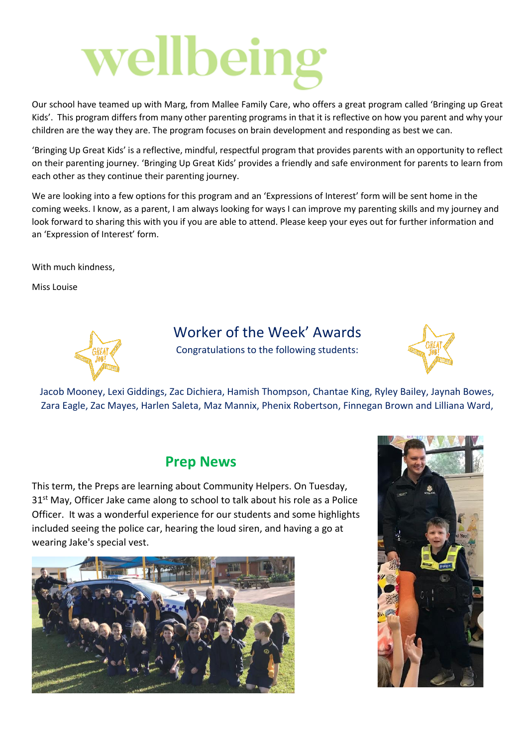# wellbeing

Our school have teamed up with Marg, from Mallee Family Care, who offers a great program called 'Bringing up Great Kids'. This program differs from many other parenting programs in that it is reflective on how you parent and why your children are the way they are. The program focuses on brain development and responding as best we can.

'Bringing Up Great Kids' is a reflective, mindful, respectful program that provides parents with an opportunity to reflect on their parenting journey. 'Bringing Up Great Kids' provides a friendly and safe environment for parents to learn from each other as they continue their parenting journey.

We are looking into a few options for this program and an 'Expressions of Interest' form will be sent home in the coming weeks. I know, as a parent, I am always looking for ways I can improve my parenting skills and my journey and look forward to sharing this with you if you are able to attend. Please keep your eyes out for further information and an 'Expression of Interest' form.

With much kindness,

Miss Louise



### Worker of the Week' Awards

Congratulations to the following students:



Jacob Mooney, Lexi Giddings, Zac Dichiera, Hamish Thompson, Chantae King, Ryley Bailey, Jaynah Bowes, Zara Eagle, Zac Mayes, Harlen Saleta, Maz Mannix, Phenix Robertson, Finnegan Brown and Lilliana Ward,

#### **Prep News**

This term, the Preps are learning about Community Helpers. On Tuesday, 31<sup>st</sup> May, Officer Jake came along to school to talk about his role as a Police Officer. It was a wonderful experience for our students and some highlights included seeing the police car, hearing the loud siren, and having a go at wearing Jake's special vest.